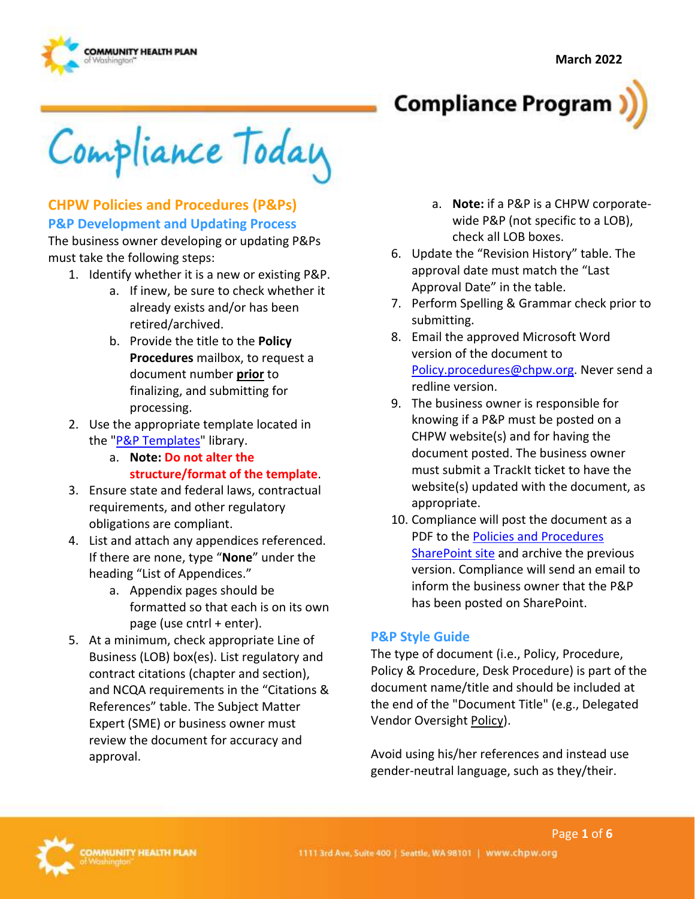

**Compliance Program** 

Compliance Today

#### **CHPW Policies and Procedures (P&Ps) P&P Development and Updating Process**

The business owner developing or updating P&Ps must take the following steps:

- 1. Identify whether it is a new or existing P&P.
	- a. If inew, be sure to check whether it already exists and/or has been retired/archived.
	- b. Provide the title to the **Policy Procedures** mailbox, to request a document number **prior** to finalizing, and submitting for processing.
- 2. Use the appropriate template located in the ["P&P Templates"](https://chpwa.sharepoint.com/sites/PoliciesandProcedures/PP%20Templates/Forms/AllItems.aspx) library.
	- a. **Note: Do not alter the structure/format of the template**.
- 3. Ensure state and federal laws, contractual requirements, and other regulatory obligations are compliant.
- 4. List and attach any appendices referenced. If there are none, type "**None**" under the heading "List of Appendices."
	- a. Appendix pages should be formatted so that each is on its own page (use cntrl + enter).
- 5. At a minimum, check appropriate Line of Business (LOB) box(es). List regulatory and contract citations (chapter and section), and NCQA requirements in the "Citations & References" table. The Subject Matter Expert (SME) or business owner must review the document for accuracy and approval.
- a. **Note:** if a P&P is a CHPW corporatewide P&P (not specific to a LOB), check all LOB boxes.
- 6. Update the "Revision History" table. The approval date must match the "Last Approval Date" in the table.
- 7. Perform Spelling & Grammar check prior to submitting.
- 8. Email the approved Microsoft Word version of the document to [Policy.procedures@chpw.org.](mailto:Policy.procedures@chpw.org) Never send a redline version.
- 9. The business owner is responsible for knowing if a P&P must be posted on a CHPW website(s) and for having the document posted. The business owner must submit a TrackIt ticket to have the website(s) updated with the document, as appropriate.
- 10. Compliance will post the document as a PDF to the [Policies and Procedures](https://chpwa.sharepoint.com/sites/PoliciesandProcedures)  [SharePoint site](https://chpwa.sharepoint.com/sites/PoliciesandProcedures) and archive the previous version. Compliance will send an email to inform the business owner that the P&P has been posted on SharePoint.

#### **P&P Style Guide**

The type of document (i.e., Policy, Procedure, Policy & Procedure, Desk Procedure) is part of the document name/title and should be included at the end of the "Document Title" (e.g., Delegated Vendor Oversight Policy).

Avoid using his/her references and instead use gender-neutral language, such as they/their.

Page **1** of **6** 

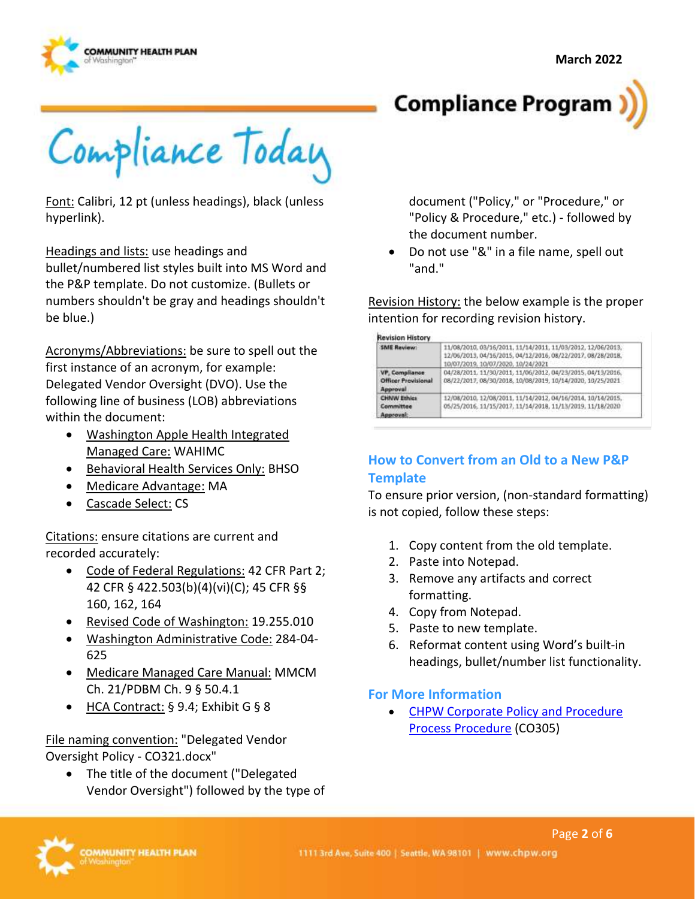



Compliance Today

Font: Calibri, 12 pt (unless headings), black (unless hyperlink).

Headings and lists: use headings and

bullet/numbered list styles built into MS Word and the P&P template. Do not customize. (Bullets or numbers shouldn't be gray and headings shouldn't be blue.)

 Delegated Vendor Oversight (DVO). Use the Acronyms/Abbreviations: be sure to spell out the first instance of an acronym, for example: following line of business (LOB) abbreviations within the document:

- Washington Apple Health Integrated Managed Care: WAHIMC
- Behavioral Health Services Only: BHSO
- Medicare Advantage: MA
- Cascade Select: CS

Citations: ensure citations are current and recorded accurately:

- Code of Federal Regulations: 42 CFR Part 2; 42 CFR § 422.503(b)(4)(vi)(C); 45 CFR §§ 160, 162, 164
- Revised Code of Washington: 19.255.010
- Washington Administrative Code: 284-04- 625
- Medicare Managed Care Manual: MMCM Ch. 21/PDBM Ch. 9 § 50.4.1
- HCA Contract: § 9.4; Exhibit G § 8

File naming convention: "Delegated Vendor Oversight Policy - CO321.docx"

• The title of the document ("Delegated Vendor Oversight") followed by the type of

document ("Policy," or "Procedure," or "Policy & Procedure," etc.) - followed by the document number.

• Do not use "&" in a file name, spell out "and."

Revision History: the below example is the proper intention for recording revision history.

**Revision History** 

| <b>SME Review:</b>                                       | 11/08/2010.03/16/2011.11/14/2011.11/03/2012.12/06/2013.<br>12/06/2013.04/16/2015.04/12/2016.08/22/2017.08/28/2018.<br>10/07/2019. 10/07/2020. 10/24/2021 |
|----------------------------------------------------------|----------------------------------------------------------------------------------------------------------------------------------------------------------|
| VP, Compilance<br><b>Officer Provisional</b><br>Approval | 04/28/2011. 11/30/2011. 11/06/2012. 04/23/2015. 04/13/2016.<br>08/22/2017.08/30/2018.10/08/2019.10/14/2020.10/25/2021                                    |
| <b>CHNW Ethics</b><br>Committee<br>Approval:             | 12/08/2010. 12/08/2011. 11/14/2012. 04/16/2014. 10/14/2015.<br>05/25/2016, 11/15/2017, 11/14/2018, 11/13/2019, 11/18/2020                                |

### **How to Convert from an Old to a New P&P Template**

To ensure prior version, (non-standard formatting) is not copied, follow these steps:

- 1. Copy content from the old template.
- 2. Paste into Notepad.
- 3. Remove any artifacts and correct formatting.
- 4. Copy from Notepad.
- 5. Paste to new template.
- 6. Reformat content using Word's built-in headings, bullet/number list functionality.

#### **For More Information**

• [CHPW Corporate Policy and Procedure](https://chpwa.sharepoint.com/:b:/r/sites/PoliciesandProcedures/Compliance/CHPW%20Corporate%20Policy%20and%20Procedure%20Process%20Procedure%20-%20CO305.pdf?csf=1&web=1&e=rCGmeR)  [Process Procedure](https://chpwa.sharepoint.com/:b:/r/sites/PoliciesandProcedures/Compliance/CHPW%20Corporate%20Policy%20and%20Procedure%20Process%20Procedure%20-%20CO305.pdf?csf=1&web=1&e=rCGmeR) (CO305)

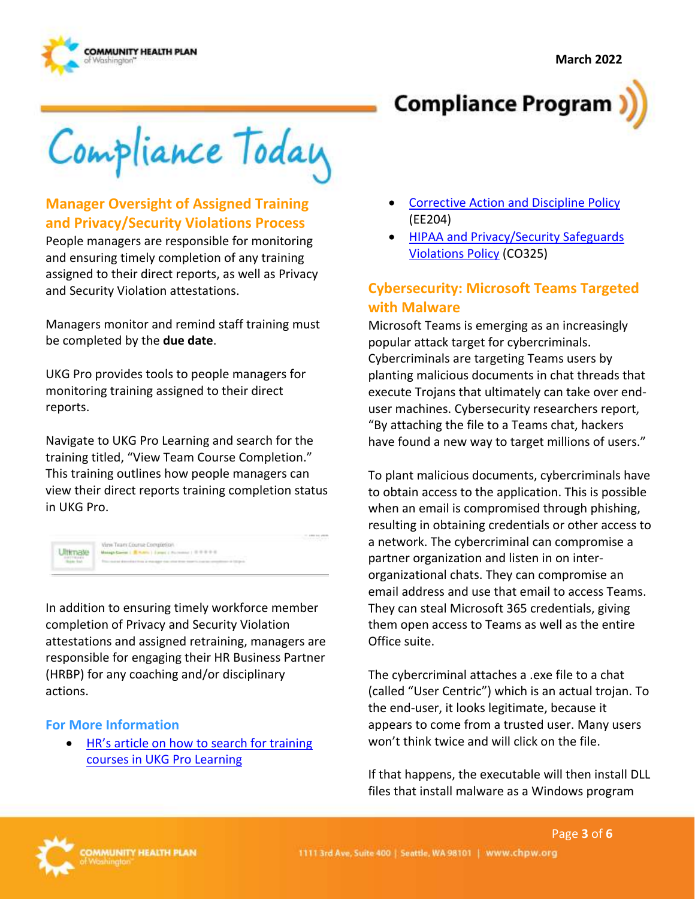

**Compliance Program** 

Compliance Today

# **Manager Oversight of Assigned Training and Privacy/Security Violations Process**

People managers are responsible for monitoring and ensuring timely completion of any training assigned to their direct reports, as well as Privacy and Security Violation attestations.

Managers monitor and remind staff training must be completed by the **due date**.

UKG Pro provides tools to people managers for monitoring training assigned to their direct reports.

Navigate to UKG Pro Learning and search for the training titled, "View Team Course Completion." This training outlines how people managers can view their direct reports training completion status in UKG Pro.

| Vine Team Course Completion                                                                                                                                                              |  |
|------------------------------------------------------------------------------------------------------------------------------------------------------------------------------------------|--|
| Makage Carrier   B. Hutch   Europe   Hutchmann   III III III III II                                                                                                                      |  |
| the control of the first of the first product of the control of the control of the control of the control of the<br>The motor directed from a manager can other from toperty instruments |  |

In addition to ensuring timely workforce member completion of Privacy and Security Violation attestations and assigned retraining, managers are responsible for engaging their HR Business Partner (HRBP) for any coaching and/or disciplinary actions.

#### **For More Information**

• HR's article on how to search for training [courses in UKG Pro Learning](https://inside.chpw.org/employee_tools/knowledge_updates/learning_series_how_to_use_ukg_learning_part_2) 

- **Corrective Action and Discipline Policy** (EE204)
- [HIPAA and Privacy/Security Safeguards](https://chpwa.sharepoint.com/:b:/r/sites/PoliciesandProcedures/Compliance/HIPAA%20and%20Privacy-Security%20Safeguards%20Violations%20Policy%20-%20CO325.pdf?csf=1&web=1&e=4ooJ1y)  [Violations Policy](https://chpwa.sharepoint.com/:b:/r/sites/PoliciesandProcedures/Compliance/HIPAA%20and%20Privacy-Security%20Safeguards%20Violations%20Policy%20-%20CO325.pdf?csf=1&web=1&e=4ooJ1y) (CO325)

## **Cybersecurity: Microsoft Teams Targeted with Malware**

Microsoft Teams is emerging as an increasingly popular attack target for cybercriminals. Cybercriminals are targeting Teams users by planting malicious documents in chat threads that execute Trojans that ultimately can take over enduser machines. Cybersecurity researchers report, "By attaching the file to a Teams chat, hackers have found a new way to target millions of users."

To plant malicious documents, cybercriminals have to obtain access to the application. This is possible when an email is compromised through phishing, resulting in obtaining credentials or other access to a network. The cybercriminal can compromise a partner organization and listen in on interorganizational chats. They can compromise an email address and use that email to access Teams. They can steal Microsoft 365 credentials, giving them open access to Teams as well as the entire Office suite.

The cybercriminal attaches a .exe file to a chat (called "User Centric") which is an actual trojan. To the end-user, it looks legitimate, because it appears to come from a trusted user. Many users won't think twice and will click on the file.

If that happens, the executable will then install DLL files that install malware as a Windows program

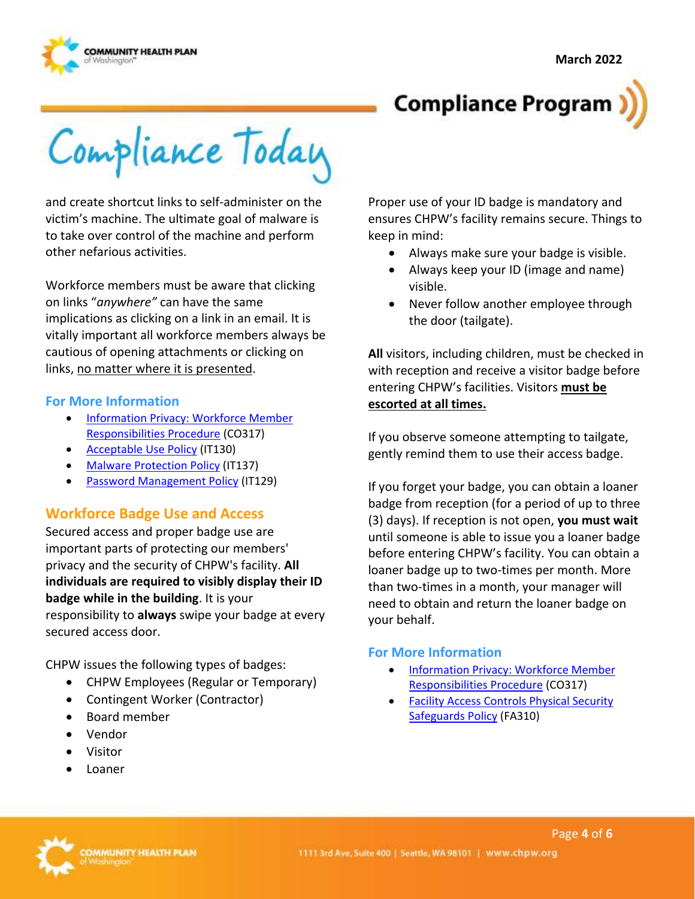



Compliance Today

and create shortcut links to self-administer on the victim's machine. The ultimate goal of malware is to take over control of the machine and perform other nefarious activities.

Workforce members must be aware that clicking on links "*anywhere"* can have the same implications as clicking on a link in an email. It is vitally important all workforce members always be cautious of opening attachments or clicking on links, no matter where it is presented.

#### **For More Information**

- [Information Privacy: Workforce Member](https://chpwa.sharepoint.com/:b:/r/sites/PoliciesandProcedures/Compliance/Information%20Privacy-Workforce%20member%20Responsibilities%20Procedure%20-%20CO317.pdf?csf=1&web=1&e=LAWaKj)  [Responsibilities Procedure \(](https://chpwa.sharepoint.com/:b:/r/sites/PoliciesandProcedures/Compliance/Information%20Privacy-Workforce%20member%20Responsibilities%20Procedure%20-%20CO317.pdf?csf=1&web=1&e=LAWaKj)CO317)
- [Acceptable Use Policy](https://chpwa.sharepoint.com/:b:/r/sites/PoliciesandProcedures/IST/Acceptable%20Use%20Policy%20-%20IT130.pdf?csf=1&web=1&e=S6oBKv) (IT130)
- [Malware Protection Policy](https://chpwa.sharepoint.com/:b:/r/sites/PoliciesandProcedures/IST/Malware%20Protection%20Policy%20-%20IT137.pdf?csf=1&web=1&e=oPT481) (IT137)
- [Password Management Policy \(](https://chpwa.sharepoint.com/:b:/r/sites/PoliciesandProcedures/IST/Password%20Management%20Policy%20-%20IT129.pdf?csf=1&web=1&e=JMPaC9)IT129)

#### **Workforce Badge Use and Access**

Secured access and proper badge use are important parts of protecting our members' privacy and the security of CHPW's facility. **All individuals are required to visibly display their ID badge while in the building**. It is your responsibility to **always** swipe your badge at every secured access door.

CHPW issues the following types of badges:

- CHPW Employees (Regular or Temporary)
- Contingent Worker (Contractor)
- Board member
- Vendor
- Visitor
- Loaner

Proper use of your ID badge is mandatory and ensures CHPW's facility remains secure. Things to keep in mind:

- Always make sure your badge is visible.
- Always keep your ID (image and name) visible.
- Never follow another employee through the door (tailgate).

**All** visitors, including children, must be checked in with reception and receive a visitor badge before entering CHPW's facilities. Visitors **must be escorted at all times.** 

If you observe someone attempting to tailgate, gently remind them to use their access badge.

If you forget your badge, you can obtain a loaner badge from reception (for a period of up to three (3) days). If reception is not open, **you must wait**  until someone is able to issue you a loaner badge before entering CHPW's facility. You can obtain a loaner badge up to two-times per month. More than two-times in a month, your manager will need to obtain and return the loaner badge on your behalf.

#### **For More Information**

- [Information Privacy: Workforce Member](https://chpwa.sharepoint.com/:b:/r/sites/PoliciesandProcedures/Compliance/Information%20Privacy-Workforce%20member%20Responsibilities%20Procedure%20-%20CO317.pdf?csf=1&web=1&e=LAWaKj)  [Responsibilities Procedure](https://chpwa.sharepoint.com/:b:/r/sites/PoliciesandProcedures/Compliance/Information%20Privacy-Workforce%20member%20Responsibilities%20Procedure%20-%20CO317.pdf?csf=1&web=1&e=LAWaKj) (CO317)
- [Facility Access Controls Physical Security](https://chpwa.sharepoint.com/:b:/r/sites/PoliciesandProcedures/Facilities/Facility%20Access%20Controls%20Physical%20Security%20Safeguards%20Policy%20-%20FA310.pdf?csf=1&web=1&e=wWPfeM)  [Safeguards Policy \(](https://chpwa.sharepoint.com/:b:/r/sites/PoliciesandProcedures/Facilities/Facility%20Access%20Controls%20Physical%20Security%20Safeguards%20Policy%20-%20FA310.pdf?csf=1&web=1&e=wWPfeM)FA310)

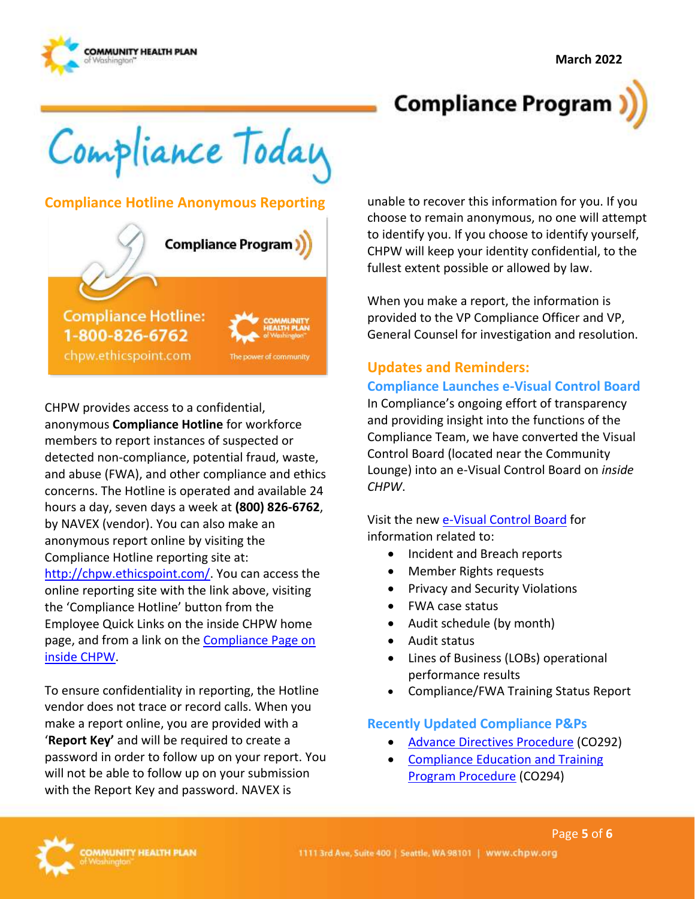

# **Compliance Program**

Compliance Today

#### **Compliance Hotline Anonymous Reporting**



CHPW provides access to a confidential, anonymous **Compliance Hotline** for workforce members to report instances of suspected or detected non-compliance, potential fraud, waste, and abuse (FWA), and other compliance and ethics concerns. The Hotline is operated and available 24 hours a day, seven days a week at **(800) 826-6762**, by NAVEX (vendor). You can also make an anonymous report online by visiting the Compliance Hotline reporting site at: [http://chpw.ethicspoint.com/.](http://chpw.ethicspoint.com/) You can access the online reporting site with the link above, visiting the 'Compliance Hotline' button from the Employee Quick Links on the inside CHPW home page, and from a link on the [Compliance Page on](https://inside.chpw.org/departments/compliance)  [inside CHPW.](https://inside.chpw.org/departments/compliance)

To ensure confidentiality in reporting, the Hotline vendor does not trace or record calls. When you make a report online, you are provided with a '**Report Key'** and will be required to create a password in order to follow up on your report. You will not be able to follow up on your submission with the Report Key and password. NAVEX is

unable to recover this information for you. If you choose to remain anonymous, no one will attempt to identify you. If you choose to identify yourself, CHPW will keep your identity confidential, to the fullest extent possible or allowed by law.

When you make a report, the information is provided to the VP Compliance Officer and VP, General Counsel for investigation and resolution.

# **Updates and Reminders:**

#### **Compliance Launches e-Visual Control Board**

In Compliance's ongoing effort of transparency and providing insight into the functions of the Compliance Team, we have converted the Visual Control Board (located near the Community Lounge) into an e-Visual Control Board on *inside CHPW*.

Visit the new [e-Visual Control Board](https://inside.chpw.org/departments/compliance/vcb) for information related to:

- Incident and Breach reports
- Member Rights requests
- Privacy and Security Violations
- FWA case status
- Audit schedule (by month)
- Audit status
- Lines of Business (LOBs) operational performance results
- Compliance/FWA Training Status Report

#### **Recently Updated Compliance P&Ps**

• [Advance Directives Procedure](https://chpwa.sharepoint.com/:b:/r/sites/PoliciesandProcedures/Compliance/Advance%20Directives%20Procedure%20-%20CO292.pdf?csf=1&web=1&e=ihtFl8) (CO292)

Page **5** of **6** 

• [Compliance Education and Training](https://chpwa.sharepoint.com/:b:/r/sites/PoliciesandProcedures/Compliance/Compliance%20Education%20and%20Training%20Program%20Procedure%20-%20CO294.pdf?csf=1&web=1&e=GnULUZ)  [Program Procedure](https://chpwa.sharepoint.com/:b:/r/sites/PoliciesandProcedures/Compliance/Compliance%20Education%20and%20Training%20Program%20Procedure%20-%20CO294.pdf?csf=1&web=1&e=GnULUZ) (CO294)